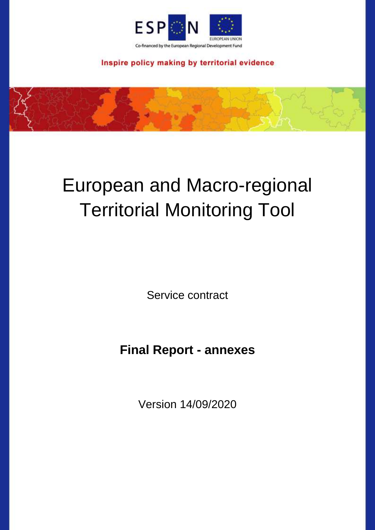

Inspire policy making by territorial evidence

# European and Macro-regional Territorial Monitoring Tool

Service contract

**Final Report - annexes**

Version 14/09/2020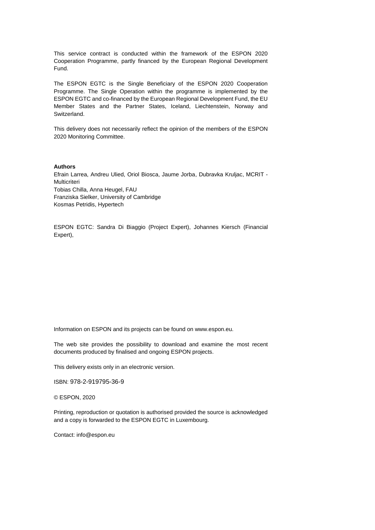This service contract is conducted within the framework of the ESPON 2020 Cooperation Programme, partly financed by the European Regional Development Fund.

The ESPON EGTC is the Single Beneficiary of the ESPON 2020 Cooperation Programme. The Single Operation within the programme is implemented by the ESPON EGTC and co-financed by the European Regional Development Fund, the EU Member States and the Partner States, Iceland, Liechtenstein, Norway and Switzerland.

This delivery does not necessarily reflect the opinion of the members of the ESPON 2020 Monitoring Committee.

#### **Authors**

Efrain Larrea, Andreu Ulied, Oriol Biosca, Jaume Jorba, Dubravka Kruljac, MCRIT - Multicriteri Tobias Chilla, Anna Heugel, FAU Franziska Sielker, University of Cambridge Kosmas Petridis, Hypertech

ESPON EGTC: Sandra Di Biaggio (Project Expert), Johannes Kiersch (Financial Expert),

Information on ESPON and its projects can be found on www.espon.eu.

The web site provides the possibility to download and examine the most recent documents produced by finalised and ongoing ESPON projects.

This delivery exists only in an electronic version.

ISBN: 978-2-919795-36-9

© ESPON, 2020

Printing, reproduction or quotation is authorised provided the source is acknowledged and a copy is forwarded to the ESPON EGTC in Luxembourg.

Contact: info@espon.eu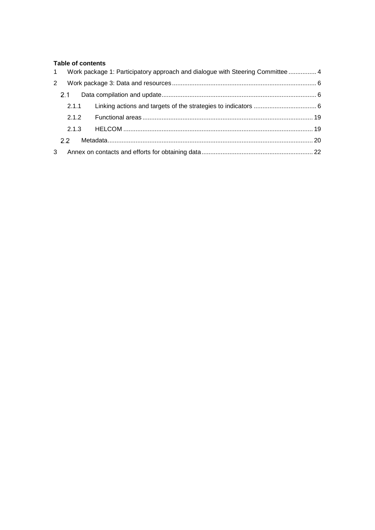## **Table of contents**

|   |         | 1 Work package 1: Participatory approach and dialogue with Steering Committee  4 |  |
|---|---------|----------------------------------------------------------------------------------|--|
| 2 |         |                                                                                  |  |
|   | $2.1 -$ |                                                                                  |  |
|   | 2.1.1   |                                                                                  |  |
|   | 2.1.2   |                                                                                  |  |
|   | 2.1.3   |                                                                                  |  |
|   | 22.     |                                                                                  |  |
| 3 |         |                                                                                  |  |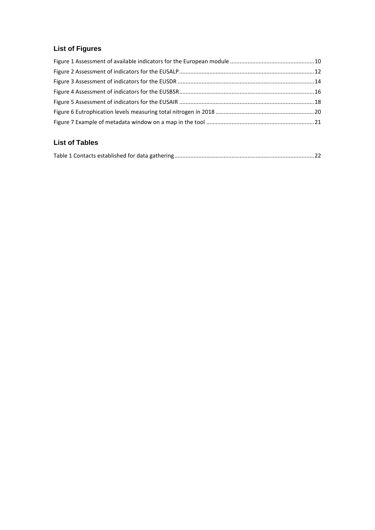# **List of Figures**

# **List of Tables**

|--|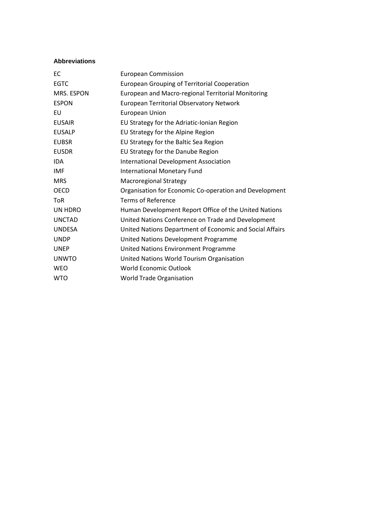## **Abbreviations**

| ЕC            | <b>European Commission</b>                               |
|---------------|----------------------------------------------------------|
| <b>EGTC</b>   | <b>European Grouping of Territorial Cooperation</b>      |
| MRS. ESPON    | European and Macro-regional Territorial Monitoring       |
| <b>ESPON</b>  | <b>European Territorial Observatory Network</b>          |
| EU            | <b>European Union</b>                                    |
| <b>EUSAIR</b> | EU Strategy for the Adriatic-Ionian Region               |
| <b>EUSALP</b> | EU Strategy for the Alpine Region                        |
| <b>EUBSR</b>  | EU Strategy for the Baltic Sea Region                    |
| <b>EUSDR</b>  | EU Strategy for the Danube Region                        |
| <b>IDA</b>    | International Development Association                    |
| <b>IMF</b>    | International Monetary Fund                              |
| <b>MRS</b>    | <b>Macroregional Strategy</b>                            |
| <b>OECD</b>   | Organisation for Economic Co-operation and Development   |
| <b>ToR</b>    | Terms of Reference                                       |
| UN HDRO       | Human Development Report Office of the United Nations    |
| <b>UNCTAD</b> | United Nations Conference on Trade and Development       |
| <b>UNDESA</b> | United Nations Department of Economic and Social Affairs |
| <b>UNDP</b>   | United Nations Development Programme                     |
| <b>UNEP</b>   | United Nations Environment Programme                     |
| <b>UNWTO</b>  | United Nations World Tourism Organisation                |
| <b>WEO</b>    | <b>World Economic Outlook</b>                            |
| <b>WTO</b>    | <b>World Trade Organisation</b>                          |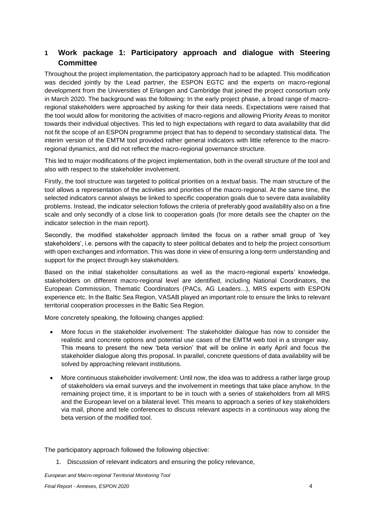# <span id="page-5-0"></span>**1 Work package 1: Participatory approach and dialogue with Steering Committee**

Throughout the project implementation, the participatory approach had to be adapted. This modification was decided jointly by the Lead partner, the ESPON EGTC and the experts on macro-regional development from the Universities of Erlangen and Cambridge that joined the project consortium only in March 2020. The background was the following: In the early project phase, a broad range of macroregional stakeholders were approached by asking for their data needs. Expectations were raised that the tool would allow for monitoring the activities of macro-regions and allowing Priority Areas to monitor towards their individual objectives. This led to high expectations with regard to data availability that did not fit the scope of an ESPON programme project that has to depend to secondary statistical data. The interim version of the EMTM tool provided rather general indicators with little reference to the macroregional dynamics, and did not reflect the macro-regional governance structure.

This led to major modifications of the project implementation, both in the overall structure of the tool and also with respect to the stakeholder involvement.

Firstly, the tool structure was targeted to political priorities on a *textual* basis. The main structure of the tool allows a representation of the activities and priorities of the macro-regional. At the same time, the selected indicators cannot always be linked to specific cooperation goals due to severe data availability problems. Instead, the indicator selection follows the criteria of preferably good availability also on a fine scale and only secondly of a close link to cooperation goals (for more details see the chapter on the indicator selection in the main report).

Secondly, the modified stakeholder approach limited the focus on a rather small group of 'key stakeholders', i.e. persons with the capacity to steer political debates and to help the project consortium with open exchanges and information. This was done in view of ensuring a long-term understanding and support for the project through key stakeholders.

Based on the initial stakeholder consultations as well as the macro-regional experts' knowledge, stakeholders on different macro-regional level are identified, including National Coordinators, the European Commission, Thematic Coordinators (PACs, AG Leaders...), MRS experts with ESPON experience etc. In the Baltic Sea Region, VASAB played an important role to ensure the links to relevant territorial cooperation processes in the Baltic Sea Region.

More concretely speaking, the following changes applied:

- More focus in the stakeholder involvement: The stakeholder dialogue has now to consider the realistic and concrete options and potential use cases of the EMTM web tool in a stronger way. This means to present the new 'beta version' that will be online in early April and focus the stakeholder dialogue along this proposal. In parallel, concrete questions of data availability will be solved by approaching relevant institutions.
- More continuous stakeholder involvement: Until now, the idea was to address a rather large group of stakeholders via email surveys and the involvement in meetings that take place anyhow. In the remaining project time, it is important to be in touch with a series of stakeholders from all MRS and the European level on a bilateral level. This means to approach a series of key stakeholders via mail, phone and tele conferences to discuss relevant aspects in a continuous way along the beta version of the modified tool.

The participatory approach followed the following objective:

1. Discussion of relevant indicators and ensuring the policy relevance,

*European and Macro-regional Territorial Monitoring Tool Final Report - Annexes, ESPON 2020* 4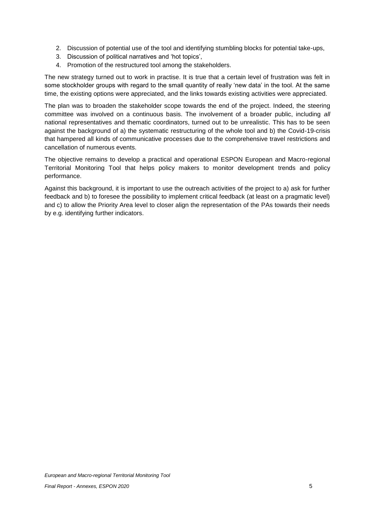- 2. Discussion of potential use of the tool and identifying stumbling blocks for potential take-ups,
- 3. Discussion of political narratives and 'hot topics',
- 4. Promotion of the restructured tool among the stakeholders.

The new strategy turned out to work in practise. It is true that a certain level of frustration was felt in some stockholder groups with regard to the small quantity of really 'new data' in the tool. At the same time, the existing options were appreciated, and the links towards existing activities were appreciated.

The plan was to broaden the stakeholder scope towards the end of the project. Indeed, the steering committee was involved on a continuous basis. The involvement of a broader public, including *all*  national representatives and thematic coordinators, turned out to be unrealistic. This has to be seen against the background of a) the systematic restructuring of the whole tool and b) the Covid-19-crisis that hampered all kinds of communicative processes due to the comprehensive travel restrictions and cancellation of numerous events.

The objective remains to develop a practical and operational ESPON European and Macro-regional Territorial Monitoring Tool that helps policy makers to monitor development trends and policy performance.

Against this background, it is important to use the outreach activities of the project to a) ask for further feedback and b) to foresee the possibility to implement critical feedback (at least on a pragmatic level) and c) to allow the Priority Area level to closer align the representation of the PAs towards their needs by e.g. identifying further indicators.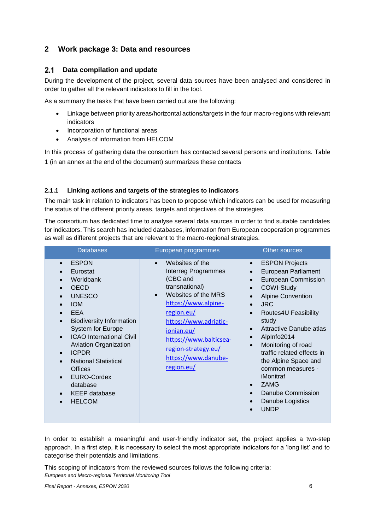# <span id="page-7-0"></span>**2 Work package 3: Data and resources**

#### <span id="page-7-1"></span> $2.1$ **Data compilation and update**

During the development of the project, several data sources have been analysed and considered in order to gather all the relevant indicators to fill in the tool.

As a summary the tasks that have been carried out are the following:

- Linkage between priority areas/horizontal actions/targets in the four macro-regions with relevant indicators
- Incorporation of functional areas
- Analysis of information from HELCOM

In this process of gathering data the consortium has contacted several persons and institutions. [Table](#page-23-1)  [1](#page-23-1) (in an annex at the end of the document) summarizes these contacts

# <span id="page-7-2"></span>**2.1.1 Linking actions and targets of the strategies to indicators**

The main task in relation to indicators has been to propose which indicators can be used for measuring the status of the different priority areas, targets and objectives of the strategies.

The consortium has dedicated time to analyse several data sources in order to find suitable candidates for indicators. This search has included databases, information from European cooperation programmes as well as different projects that are relevant to the macro-regional strategies.

| <b>Databases</b>                                                                                                                                                                                                                                                                                                                                                                      | European programmes                                                                                                                                                                                                                                                                            | Other sources                                                                                                                                                                                                                                                                                                                                                                                                                                                                                               |
|---------------------------------------------------------------------------------------------------------------------------------------------------------------------------------------------------------------------------------------------------------------------------------------------------------------------------------------------------------------------------------------|------------------------------------------------------------------------------------------------------------------------------------------------------------------------------------------------------------------------------------------------------------------------------------------------|-------------------------------------------------------------------------------------------------------------------------------------------------------------------------------------------------------------------------------------------------------------------------------------------------------------------------------------------------------------------------------------------------------------------------------------------------------------------------------------------------------------|
| <b>ESPON</b><br>Eurostat<br>Worldbank<br><b>OECD</b><br><b>UNESCO</b><br><b>IOM</b><br><b>EEA</b><br><b>Biodiversity Information</b><br><b>System for Europe</b><br><b>ICAO International Civil</b><br><b>Aviation Organization</b><br><b>ICPDR</b><br><b>National Statistical</b><br>$\bullet$<br><b>Offices</b><br>EURO-Cordex<br>database<br><b>KEEP</b> database<br><b>HELCOM</b> | Websites of the<br>$\bullet$<br><b>Interreg Programmes</b><br>(CBC and<br>transnational)<br>Websites of the MRS<br>$\bullet$<br>https://www.alpine-<br>region.eu/<br>https://www.adriatic-<br>ionian.eu/<br>https://www.balticsea-<br>region-strategy.eu/<br>https://www.danube-<br>region.eu/ | <b>ESPON Projects</b><br>$\bullet$<br>European Parliament<br><b>European Commission</b><br><b>COWI-Study</b><br><b>Alpine Convention</b><br><b>JRC</b><br>$\bullet$<br>Routes4U Feasibility<br>$\bullet$<br>study<br><b>Attractive Danube atlas</b><br>$\bullet$<br>AlpInfo2014<br>$\bullet$<br>Monitoring of road<br>$\bullet$<br>traffic related effects in<br>the Alpine Space and<br>common measures -<br>iMonitraf<br><b>ZAMG</b><br>$\bullet$<br>Danube Commission<br>Danube Logistics<br><b>UNDP</b> |

In order to establish a meaningful and user-friendly indicator set, the project applies a two-step approach. In a first step, it is necessary to select the most appropriate indicators for a 'long list' and to categorise their potentials and limitations.

*European and Macro-regional Territorial Monitoring Tool*  This scoping of indicators from the reviewed sources follows the following criteria: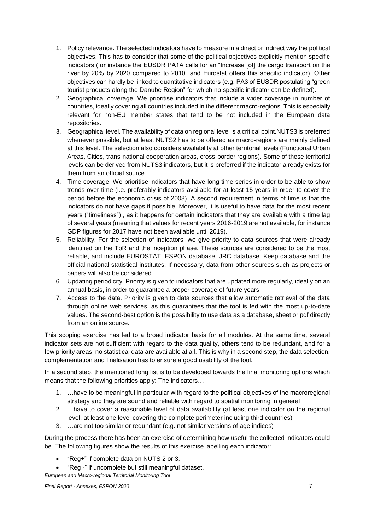- 1. Policy relevance. The selected indicators have to measure in a direct or indirect way the political objectives. This has to consider that some of the political objectives explicitly mention specific indicators (for instance the EUSDR PA1A calls for an "Increase [of] the cargo transport on the river by 20% by 2020 compared to 2010" and Eurostat offers this specific indicator). Other objectives can hardly be linked to quantitative indicators (e.g. PA3 of EUSDR postulating "green tourist products along the Danube Region" for which no specific indicator can be defined).
- 2. Geographical coverage. We prioritise indicators that include a wider coverage in number of countries, ideally covering all countries included in the different macro-regions. This is especially relevant for non-EU member states that tend to be not included in the European data repositories.
- 3. Geographical level. The availability of data on regional level is a critical point.NUTS3 is preferred whenever possible, but at least NUTS2 has to be offered as macro-regions are mainly defined at this level. The selection also considers availability at other territorial levels (Functional Urban Areas, Cities, trans-national cooperation areas, cross-border regions). Some of these territorial levels can be derived from NUTS3 indicators, but it is preferred if the indicator already exists for them from an official source.
- 4. Time coverage. We prioritise indicators that have long time series in order to be able to show trends over time (i.e. preferably indicators available for at least 15 years in order to cover the period before the economic crisis of 2008). A second requirement in terms of time is that the indicators do not have gaps if possible. Moreover, it is useful to have data for the most recent years ("timeliness") , as it happens for certain indicators that they are available with a time lag of several years (meaning that values for recent years 2016-2019 are not available, for instance GDP figures for 2017 have not been available until 2019).
- 5. Reliability. For the selection of indicators, we give priority to data sources that were already identified on the ToR and the inception phase. These sources are considered to be the most reliable, and include EUROSTAT, ESPON database, JRC database, Keep database and the official national statistical institutes. If necessary, data from other sources such as projects or papers will also be considered.
- 6. Updating periodicity. Priority is given to indicators that are updated more regularly, ideally on an annual basis, in order to guarantee a proper coverage of future years.
- 7. Access to the data. Priority is given to data sources that allow automatic retrieval of the data through online web services, as this guarantees that the tool is fed with the most up-to-date values. The second-best option is the possibility to use data as a database, sheet or pdf directly from an online source.

This scoping exercise has led to a broad indicator basis for all modules. At the same time, several indicator sets are not sufficient with regard to the data quality, others tend to be redundant, and for a few priority areas, no statistical data are available at all. This is why in a second step, the data selection, complementation and finalisation has to ensure a good usability of the tool.

In a second step, the mentioned long list is to be developed towards the final monitoring options which means that the following priorities apply: The indicators…

- 1. …have to be meaningful in particular with regard to the political objectives of the macroregional strategy and they are sound and reliable with regard to spatial monitoring in general
- 2. …have to cover a reasonable level of data availability (at least one indicator on the regional level, at least one level covering the complete perimeter including third countries)
- 3. …are not too similar or redundant (e.g. not similar versions of age indices)

During the process there has been an exercise of determining how useful the collected indicators could be. The following figures show the results of this exercise labelling each indicator:

- "Reg+" if complete data on NUTS 2 or 3,
- "Reg -" if uncomplete but still meaningful dataset,

*European and Macro-regional Territorial Monitoring Tool*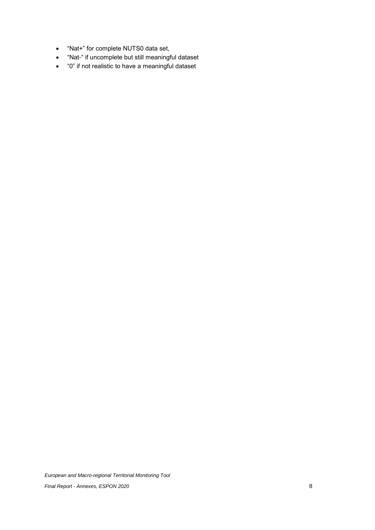- "Nat+" for complete NUTS0 data set,
- "Nat-" if uncomplete but still meaningful dataset
- "0" if not realistic to have a meaningful dataset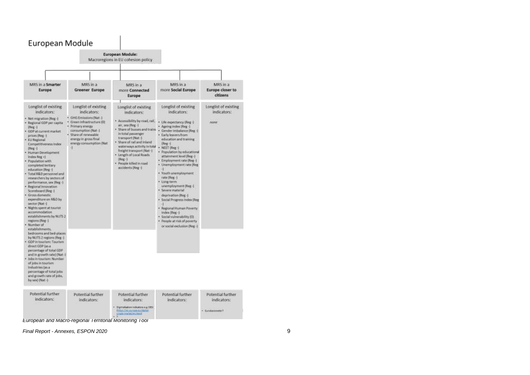# European Module



**European and Macro-regional Territorial Monitoring Tool**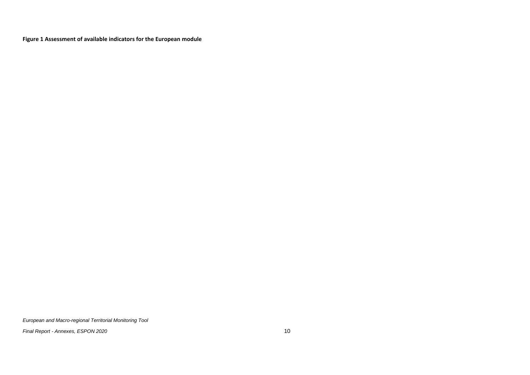**Figure 1 Assessment of available indicators for the European module**

<span id="page-11-0"></span>*European and Macro-regional Territorial Monitoring Tool*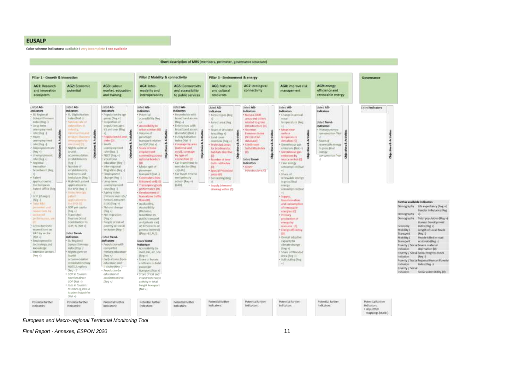**FUSALP** 

Color scheme indicators: available I very incomplete I not available

#### Short description of MRS (members, perimeter, governance structure) **Pillar 2 Mobility & connectivity** Pillar 1 - Growth & innovation Pillar 3 - Environment & energy Governance AG7: ecological AG1: Research AG2: Economic AG3: Labour AG4: Inter-AGS: Connectivity AG6: Natural AG8: improve risk AG9: energy market, education modality and and accessibility and cultural connectivity efficiency and and innovation potential management ecosystem and training interoperability to public services resources renewable energy Listed AG Listed AG-Lisbed AG-Listed AG-Listed AG-Listed AG-Listed AG-Lisbert AG-Listed AG-I isted indicators **Indicators** indicators. **Indicators** indicators **indicators** Indication Indicators **Indicators Indicators** \* Eli Regional · EU Digital setion · Population by rape · Potential · Households with · Natura 2000 · Change in annual · Forest types (Reg. Competitiven Index (Not -) group Dieg +1 accessibility Reg hrssibant access areas and others Inches (Reg ...) Namboli rate of · Programmer at  $Dlog + 1$ · Forest area Dive related to green temperature (Reg. **Listed Trend** · Enterprises with infrastructure 016 · Long-term externitive in population aged Accordiziby to Indicators unemployment industry. **B5 and over Thee** urban centers (III) tunisitized arrest Share of Wrooded sharmon. Mean new *Phimory Internal* rate their 1 *<i><u>ALCOHOLOGICA</u>* Volume of (Funnetat) Bian (L Area (Neg. v) **Elements Index** surface. conscioution (Not · Republicands and · Visuitis announced Herzel passenger · EU Digital chiar-\* Land cover **BRITGHTAS** temperature **Linksweightermann** demography by girler 031 transport relative Index Olar -1 overview (Reg +) databaug deviation (0) · Share of rate their -1 **BARN CRAWLING K-Wassetts** In GDP Herr 45 Coverage by area Protected areas Continues · Greenhouse gas reassigned by energy · Employment rate Nights speed at **Hornesburgwal Situate of total** triational and for biothersity: **Suitability Index** emissions (Nat. +) in gross final (Reg +) teacout. rate (New 1) employment rurati, coverage **Isbitats directive**  $100.$ · Greenhouse gas **ANTIQUE** ă å NEET (Reg +) a impound opening accompanies commeting across by type of arctoriors by Ã **MA** consumption (Net) ă 误  $\overline{8}$ John Dieg +1 establishments Viventinesi national braders connection (II) Dissertion of June Listed Trend-Amplice such at 458 Car Travel firms for · Timelersal  $B$ leg  $-3$ education Reef **Cultural Routes Indicators** <Final engine inneation Promiser of ned doctor like. · Informazional · Mostetunist of **Control** consumption that **Link** Scoreboard Illeg establishments Minution Box -1 -43 NAUS Special Protected Infrastructure (0) **Hannover**  $-1$ · Car travel time to bedrooms and · Enginement transport (Nat.) areas 01. 4. Afranco col · Patent hed places Bleg. change Bleg -L · Committed this meetaninum · Soll scaling (Reg. renewable intergy (http://keg.ii) applications to: · Figh-tech pairent in grow final · Long-term Imaginest cell 100 **Call** Hie European applications to: unimakamient · Trampaterie appel-(LAU) Supply /demand overgy. Patent Office (Reg. the EPO Hap ( rate Over 1 performance (0) composition that drinking water (0) **Histories** · Agelra miles: Cevelraturent of  $-1$ · GDP (in ange) patriot. Theoretic over 65 / **Inimalping buffit** Sigmer. Reisons between (Reg.) autication to Thism's OIL mantematico Further available indicators me cro mi  $0.1410$  (Heg. 4) 100010841 · Assistability. and companyting Demography Life expectancy (Neg +) · GDP per capital penmatuh · Natural change Accessibility of recovable Gender Imbalance (Reg. Telephone by  $(0.01 - 1)$  $|Fig. 4|$ (titunee. energies (o) **Without** Travel And · net migration travertime by Primary Demography ыī bettermania, in Touriam Direct  $\mathrm{Peg}(\cdot)$ public tramport production of Demography Total population (Reg +) Communities To Poople at risk of and private car) Human Development everage by: · Grass stomeutic GOP, % (Not +) poverty or social of 10 Services of resource (D) conomi Holex (Reg +) geograf interest) expenditure on exclusive [Reg. ] · Elergy officiency Mobility/ laright of Local Roads. **NAD by sector** United Trend-(Pag +) (LAUD) **Transport** Reg | Died all Indicators (ideal Trend-· Overall adaptive Mobility / Poople killed in much - Employmentin · EU Regional Indicators **United Transfi** manufty to actioners (Reg. -) **Transport** technology and Competitiveness · Population with exotorion stimate change Poverty / Social Severe material knowledge Willey (Reg. 1) assistants. \* Accessibility by  $[3xq;4]$ . inclusion deprivation (0) teheroise section. · Nights upon at Fertilory extensions road, rail, air, sea · Shire of Wooded Poverty / Social Social Progress Index  $[Reg +]$ featured." Days of Dieg of Area (Reg +) inclusion. IReg | · Early leavers from econocerona · Shieri of frasoes · Soll sealing (Reg. Poverty / Social Regional Human Poverty establishments in inducation and and trains in total  $-1$ metasine. Index (Reg. ) WEITS 2 regions training (Reg. J. pinsunger. Poverty / Social transport (Nat. c) Direct - 11 · Papulation by inclusion Social vulnerability (0) + GDP in tourism educational · Share of rail and **Tourism direct** collegement (exel in based supplements. GDP (Not a)  $(Dn\alpha + 1)$ activity in total · Jobs in tourism freight transport Number of Jobs in  ${Mat +}$ towism industries  $\{Nx(t,a)\}$ Potential further Potential further Potential further Potential further Potential further Potential further **Fotential further** Poteetial further Potential further Pobential further indicatory. indicators: indicators: indicators: kickcatore indicators: indicators: indicators: indicators: indicators:  $+$  Alm 2050 mappings (static).

*European and Macro -regional Territorial Monitoring Tool*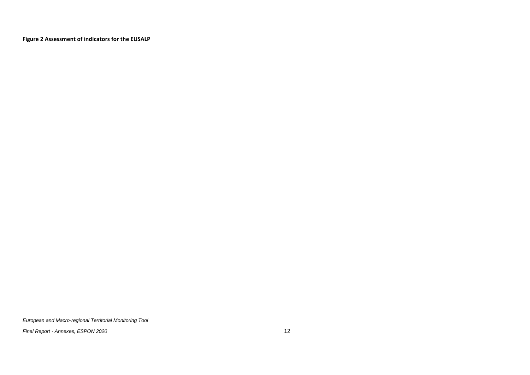**Figure 2 Assessment of indicators for the EUSALP**

<span id="page-13-0"></span>*European and Macro-regional Territorial Monitoring Tool*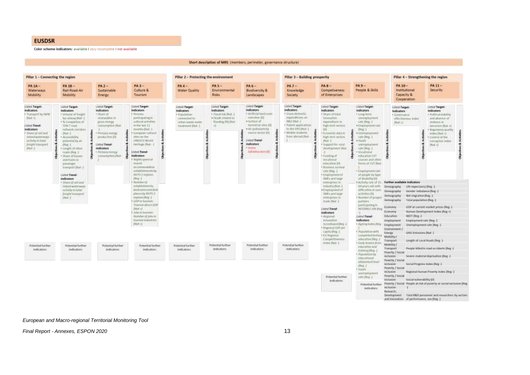#### **EUSDSR**

Color scheme indicators: available I very incomplete I not available

#### Short description of MRS (members, perimeter, governance structure)

| Pillar 1 - Connecting the region                                                                                                                                                            |                                                                                                                                                                                                                                                                                                                                                                                                                                                    |                                                                                                                                                                                                                          |                                                                                                                                                                                                                                                                                                                                                                                                                                                                                                                                                                                   | Pillar 2 - Protecting the environment                                                                  |                                                                                                              |                                                                                                                                                                                                                                                 | Pillar 3 - Building prosperity                                                                                                                                                      |                                                                                                                                                                                                                                                                                                                                                                                                                                                                                                                                                                                                                                                                      | Pillar 4 - Strengthening the region                                                                                                                                                                                                                                                                                                                                                                                                                                                                                                                                                                                                |                                                                                                                                                                                                                                                                                                                                                                               |                                                                                                                                                                                                                                                                                                                                                                                                                           |
|---------------------------------------------------------------------------------------------------------------------------------------------------------------------------------------------|----------------------------------------------------------------------------------------------------------------------------------------------------------------------------------------------------------------------------------------------------------------------------------------------------------------------------------------------------------------------------------------------------------------------------------------------------|--------------------------------------------------------------------------------------------------------------------------------------------------------------------------------------------------------------------------|-----------------------------------------------------------------------------------------------------------------------------------------------------------------------------------------------------------------------------------------------------------------------------------------------------------------------------------------------------------------------------------------------------------------------------------------------------------------------------------------------------------------------------------------------------------------------------------|--------------------------------------------------------------------------------------------------------|--------------------------------------------------------------------------------------------------------------|-------------------------------------------------------------------------------------------------------------------------------------------------------------------------------------------------------------------------------------------------|-------------------------------------------------------------------------------------------------------------------------------------------------------------------------------------|----------------------------------------------------------------------------------------------------------------------------------------------------------------------------------------------------------------------------------------------------------------------------------------------------------------------------------------------------------------------------------------------------------------------------------------------------------------------------------------------------------------------------------------------------------------------------------------------------------------------------------------------------------------------|------------------------------------------------------------------------------------------------------------------------------------------------------------------------------------------------------------------------------------------------------------------------------------------------------------------------------------------------------------------------------------------------------------------------------------------------------------------------------------------------------------------------------------------------------------------------------------------------------------------------------------|-------------------------------------------------------------------------------------------------------------------------------------------------------------------------------------------------------------------------------------------------------------------------------------------------------------------------------------------------------------------------------|---------------------------------------------------------------------------------------------------------------------------------------------------------------------------------------------------------------------------------------------------------------------------------------------------------------------------------------------------------------------------------------------------------------------------|
| $PA1A-$<br>Waterways<br>Mobility                                                                                                                                                            | <b>PA 18-</b><br>Rail-Road-Air<br>Mobility                                                                                                                                                                                                                                                                                                                                                                                                         | $PA2-$<br>Sustainable<br>Energy                                                                                                                                                                                          | PA3-<br>Culture &<br>Tourism                                                                                                                                                                                                                                                                                                                                                                                                                                                                                                                                                      | $PA$ $4-$<br>Water Quality                                                                             | <b>PA5-</b><br>Environmental<br>Risks                                                                        | $PA6-$<br>Biodiversity &<br><b>Landscapes</b>                                                                                                                                                                                                   | <b>PA 7-</b><br>Knowledge<br>Society                                                                                                                                                | $PAB -$<br><b>Competiveness</b><br>of Enterprises                                                                                                                                                                                                                                                                                                                                                                                                                                                                                                                                                                                                                    | $PA9-$<br>People & Skills                                                                                                                                                                                                                                                                                                                                                                                                                                                                                                                                                                                                          | PA 10-<br>Institutional<br>Capacity &<br>Cooperation                                                                                                                                                                                                                                                                                                                          | PA 11-<br>Security                                                                                                                                                                                                                                                                                                                                                                                                        |
| <b>Listed Target</b><br>Indicators<br>Transport by NVW<br>INat +1<br>Listed Trend-<br>macators<br>Shore is rulest<br>Inforte writerwites<br>pedivity in June<br>frequir fransport<br>F-TDVD | Listed Target-<br>Indicators<br>* Volume of Insight<br>be railway (Nat.)<br>+ % Completion of<br>TEN-T road.<br>network comiters.<br>Dist-1<br>+ Accessibility<br>potential by art.<br>$0$ kg $-1$<br>· Leugh statur<br>reads [files -]<br>Share of busies<br>and frains in<br>previewing<br>tramport DVI -<br>Listed Trend-<br>Indicators<br>· Shore of rail and<br>resoluted works works.<br>activity in fatal.<br>the animal transfer<br>West 4 | Listed:Target<br>Indicators<br>· Share of<br>renewables in<br>gross energy<br>consumption (Nat.<br>· Primary extenge<br>greekertion (O)<br><b>Listed Trend</b><br>inglicators:<br>· Primary carrier<br>comunication (NW. | Listed Target-<br>Indicators<br>· Persons<br>participating in<br>cofforal activities.<br>in the last 12<br>months (Mat-)<br>ž<br>· European cultural<br>stes on the<br><b>UNESCO World</b><br>Henhaar (Nat-)<br>isted Trend-<br>Indicators<br>Waterspent at<br><b>TOUGH</b><br>ancistombdiation<br>establishments by<br>NUTS 2 myroms<br>(Beg-)<br>· Nattsbergd<br>establishments.<br>DesNotoms and dech-<br>Whitesda NUTS 2<br>Lighters (Reg.)<br>THRUSH IS NOT THE<br>Toway slivet GOP<br>(Wate)<br>· Jobs of fourture<br>Natisher of John In-<br>TOWNSHIP/DISTRICT<br>(Witt +) | Listed Target-<br>Indicators<br>· Population<br>connected to<br>lathan seaste water<br>treatment@kat-1 | <b>Listed Target</b><br>indicators:<br>· Flood Hot (Nat. )<br>· Death related to<br>flooding ISI DIA<br>$+1$ | Listed Target<br>Indicators<br>* Artificial land cover<br>overview \$25<br>· Surface of<br>terrestrial sites (0)<br>· Air pollutants by<br>source sector IIII<br><b>Listed Trend-</b><br><b>Indicators</b><br>* Caterns<br>in the structure (D) | Listed Target-<br><b>Indicators</b><br>· Gross-domestic<br>expenditures on<br>R&D (Nat-3)<br>· Futerit applications<br>to the EPO (Nat-)<br>· Mobile students<br>from abroad (five) | Listed Target-<br><b>Indicators</b><br>· Share of total<br>iniusation.<br>expenditure in<br>high-tech sectors<br>m<br>· Economic data in<br>high-tech sectors.<br>OWN J<br>· Support for rural<br>development Wat<br>· Fanding of<br>vocational<br>emutation (0)<br>· Business surotaat<br>rate [Reg.-]<br>· Employment of<br>SMEs and target<br>enterprises in<br>Industry (Nat-)<br>· Employment of<br>SMEs and target<br>enterprises in<br>made (Nat.)<br>Listed Trend-<br><i>indicators</i><br>· Aegidoat<br><b>JIMPOVOTEDO</b><br>Acoreboard (Reg. )<br>· Regional GDP per<br>spitalite ()<br>· Ell Begional<br>Competitivement<br>Index (Nat.).<br>indicators: | Listed Target<br><b>Indicators</b><br>itret.good *<br>unemployment<br><b>Bate (Beg-1)</b><br>· Employment rate<br>$(1 + \frac{1}{2})$<br>· Unemployment<br>Fate Dieg. 1<br>+ Vouth<br>snemployment<br>sate likes -1<br>Weathingt<br>education CVT<br>lookses and other.<br>forms of CVT (Nat.<br>· Engaymentrate<br>of people by type.<br>of disability [0]<br>+Activity rate of 15-<br>64 years old with<br>difficulties in vasit.<br>activities (0).<br>· Number of project<br>portners.<br>participating in<br>INTERREG AVA (Reg)<br>Listed Trend-<br>indicators.<br>· Ageng Index Weg<br>· Fozulation with<br>completed tentor | Littled Turget-<br>Indicators<br>· Governance<br>offertiveness index<br>(Nat.v)<br>Further available Indicators<br>Demography<br>Life expectancy (Reg -)<br>Demography<br>Net regration (forg. -)<br>Demography<br>Demography<br>Economy<br>Economy<br>NEET Uleg -1<br>Education<br>Employment<br>Employment<br>Lovinnment /<br>Energy<br>GHG Emissions (Nat-1)<br>Mobility / | <b>Ushed Target-</b><br><b>Indicators</b><br>· Political dubility<br>and powerce of<br>violence br<br>terrorism (Nat +).<br>· Regulatory quality<br>index (Nat+)<br>Control of the<br>corruption index<br>$[16M+1]$<br>흊<br>Gender indudance (Reg.-)<br>Total population (Reg -)<br>GDP at current market prices (Reg. 3)<br>Human Development Index (Reg +)<br><b>Employmentrate (Reg-)</b><br>Unemployment rate (Reg. ) |
| Potential further<br>indicators:                                                                                                                                                            | Fotential further<br>indicators:                                                                                                                                                                                                                                                                                                                                                                                                                   | Potential further<br>indicators:                                                                                                                                                                                         | Potential further<br>indicators:                                                                                                                                                                                                                                                                                                                                                                                                                                                                                                                                                  | Potential further<br>indicators:                                                                       | Fotential further<br>initiation:                                                                             | <b>Potential further</b><br>indicators:                                                                                                                                                                                                         | Potential further                                                                                                                                                                   |                                                                                                                                                                                                                                                                                                                                                                                                                                                                                                                                                                                                                                                                      | estasystics (Reg.)<br>· Early leavers from<br>education and<br>transrgmen-<br>- Papulition by<br>educations?                                                                                                                                                                                                                                                                                                                                                                                                                                                                                                                       | Transport<br>Mobility /<br>Transport<br>Poverty / Social<br>inclusion.<br>Powerty / Social                                                                                                                                                                                                                                                                                    | Length of Local Roads (Reg.-)<br>People killed in mail accidents [Beg -]<br>Severe muterial deprivation (Reg.-)                                                                                                                                                                                                                                                                                                           |
|                                                                                                                                                                                             |                                                                                                                                                                                                                                                                                                                                                                                                                                                    |                                                                                                                                                                                                                          |                                                                                                                                                                                                                                                                                                                                                                                                                                                                                                                                                                                   |                                                                                                        |                                                                                                              |                                                                                                                                                                                                                                                 |                                                                                                                                                                                     | Pritential further<br>mitrators:                                                                                                                                                                                                                                                                                                                                                                                                                                                                                                                                                                                                                                     | artistoment tevel<br>$3800 - 7$<br>· Fourth<br>averageopment<br>jozhe (these -).<br><b>Potential further</b><br>indicators:                                                                                                                                                                                                                                                                                                                                                                                                                                                                                                        | milasion<br>Powerty / Social<br>inclusion.<br>Powerty / Social<br>milution<br>inclusion:<br>Research,<br>and Innovation of performance, ww then -I                                                                                                                                                                                                                            | Social Progress Index (Reg. -)<br>Regional Human Powerty: Index (Reg.-)<br>Social vulnerability (0)<br>Poverty / Social People at risk of poverty or social exclusion (Reg<br>Development. Total:8&D personnel and rewarchers by sectors                                                                                                                                                                                  |

#### *European and Macro -regional Territorial Monitoring Tool*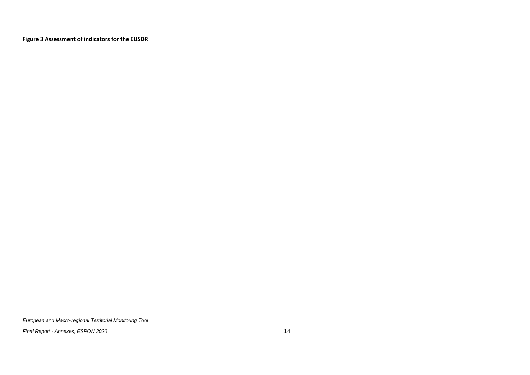**Figure 3 Assessment of indicators for the EUSDR**

<span id="page-15-0"></span>*European and Macro-regional Territorial Monitoring Tool*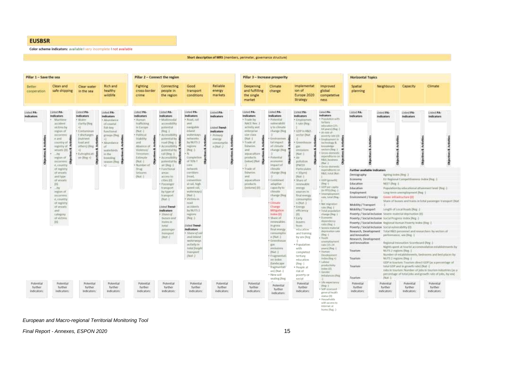#### **EUSBSR**

Color scheme indicators: available I very incomplete I not available

#### Short description of MRS (members, perimeter, governance structure)

| Pillar 1 - Save the sea                    |                                                                                                                                                                                                                                                                                                                                                                                                                                                              |                                                                                                                                                                                                |                                                                                                                                                                                                                         | Pillar 2 - Connect the region                                                                                                                                                                                                              |                                                                                                                                                                                                                                                                                                                                                                                                                                                                                                                                                    |                                                                                                                                                                                                                                                                                                                                                                                                                                                                                                                                                                                         |                                                                                                                   | Pillar 3 - Increase prosperity                                                                                                                                                                                                                                                          |                                                                                                                                                                                                                                                                                                                                                                                                                                                                                                                                                                                                                                                                         |                                                                                                                                                                                                                                                                                                                                                                                                                                                                                                                                                                                            |                                                                                                                                                                                                                                                                                                                                                                                                                                                                                                                                                                                                                                                                                                                                                                                                                                                       | <b>Horizontal Topics</b>                                                                                                                                                                                                                                                                                        |                                                                                                                                                                                                                                                                                                                                                             |                                                                                                                                                                                                                                                                                                                    |                                                                                                                                                                                                                                                                                                                                                                                                                                                                                                                                       |
|--------------------------------------------|--------------------------------------------------------------------------------------------------------------------------------------------------------------------------------------------------------------------------------------------------------------------------------------------------------------------------------------------------------------------------------------------------------------------------------------------------------------|------------------------------------------------------------------------------------------------------------------------------------------------------------------------------------------------|-------------------------------------------------------------------------------------------------------------------------------------------------------------------------------------------------------------------------|--------------------------------------------------------------------------------------------------------------------------------------------------------------------------------------------------------------------------------------------|----------------------------------------------------------------------------------------------------------------------------------------------------------------------------------------------------------------------------------------------------------------------------------------------------------------------------------------------------------------------------------------------------------------------------------------------------------------------------------------------------------------------------------------------------|-----------------------------------------------------------------------------------------------------------------------------------------------------------------------------------------------------------------------------------------------------------------------------------------------------------------------------------------------------------------------------------------------------------------------------------------------------------------------------------------------------------------------------------------------------------------------------------------|-------------------------------------------------------------------------------------------------------------------|-----------------------------------------------------------------------------------------------------------------------------------------------------------------------------------------------------------------------------------------------------------------------------------------|-------------------------------------------------------------------------------------------------------------------------------------------------------------------------------------------------------------------------------------------------------------------------------------------------------------------------------------------------------------------------------------------------------------------------------------------------------------------------------------------------------------------------------------------------------------------------------------------------------------------------------------------------------------------------|--------------------------------------------------------------------------------------------------------------------------------------------------------------------------------------------------------------------------------------------------------------------------------------------------------------------------------------------------------------------------------------------------------------------------------------------------------------------------------------------------------------------------------------------------------------------------------------------|-------------------------------------------------------------------------------------------------------------------------------------------------------------------------------------------------------------------------------------------------------------------------------------------------------------------------------------------------------------------------------------------------------------------------------------------------------------------------------------------------------------------------------------------------------------------------------------------------------------------------------------------------------------------------------------------------------------------------------------------------------------------------------------------------------------------------------------------------------|-----------------------------------------------------------------------------------------------------------------------------------------------------------------------------------------------------------------------------------------------------------------------------------------------------------------|-------------------------------------------------------------------------------------------------------------------------------------------------------------------------------------------------------------------------------------------------------------------------------------------------------------------------------------------------------------|--------------------------------------------------------------------------------------------------------------------------------------------------------------------------------------------------------------------------------------------------------------------------------------------------------------------|---------------------------------------------------------------------------------------------------------------------------------------------------------------------------------------------------------------------------------------------------------------------------------------------------------------------------------------------------------------------------------------------------------------------------------------------------------------------------------------------------------------------------------------|
| <b>Better</b><br>cooperation               | Clean and<br>safe shipping                                                                                                                                                                                                                                                                                                                                                                                                                                   | <b>Clear water</b><br>in the sea                                                                                                                                                               | <b>Rich and</b><br>healthy<br>wildlife                                                                                                                                                                                  | Fighting<br>cross-border<br>crime                                                                                                                                                                                                          | Connecting<br>people in<br>the region                                                                                                                                                                                                                                                                                                                                                                                                                                                                                                              | Good<br>transport<br>conditions                                                                                                                                                                                                                                                                                                                                                                                                                                                                                                                                                         | Reliable<br>energy<br>markets                                                                                     | Deepening<br>and fulfilling<br>the single<br>market                                                                                                                                                                                                                                     | Climate<br>change                                                                                                                                                                                                                                                                                                                                                                                                                                                                                                                                                                                                                                                       | Implementat<br>ton of<br>Europe 2020<br>Strategy                                                                                                                                                                                                                                                                                                                                                                                                                                                                                                                                           | Improved<br>giobal<br>competetive<br>ness.                                                                                                                                                                                                                                                                                                                                                                                                                                                                                                                                                                                                                                                                                                                                                                                                            | Spatial<br>planning                                                                                                                                                                                                                                                                                             | Neighbours                                                                                                                                                                                                                                                                                                                                                  | Capacity                                                                                                                                                                                                                                                                                                           | Climate                                                                                                                                                                                                                                                                                                                                                                                                                                                                                                                               |
| Ushed PA-<br><b>Indicators</b>             | Listed PA-<br><b>Indicators</b><br>Marttime<br>accident<br>with Fire Dy<br><b>ITSFOR OF</b><br><b>DODITISTIC</b><br>œ<br>$+$ and<br>murtry of $\frac{2}{5}$<br>mgstry of a<br>wrmeit (01)<br>$-2w$<br><b>ITSSORIE</b><br><b>DODITION</b><br>e, country<br>of registry<br>of severels<br>and type:<br>of smoots<br>101<br>$-3y$<br><b>HISORIE</b><br>-DODITORTE<br>e, country.<br>of registry<br>of smoots<br>and:<br>Extracey<br>:00 elettres<br>$ 0\rangle$ | Usted PA-<br>tadicators<br>4 Water<br>platffy (Reg.<br>HK.<br>· Contaminan<br>1 discharges<br><b>Treatrient</b><br>load and<br>interiú illeg<br>٠N<br>· Tudmpbicati<br>$(40 - 15)$ eq. +3<br>ā | Listed PA-<br>Indicators<br>· Alsondance<br><i>af coastal</i><br><b>Ball</b> key-<br><b>Bara</b> Trainut<br><b>Browday</b> Santo<br>Abundance<br>waterints.<br>in the<br>limeding<br><b><i>Granter Over</i></b><br>$+1$ | Listed PA-<br><b>Indicators</b><br>· Human<br>trafficilitie<br>in Europe<br>(Nati i)<br>· Political<br>Stability<br>and.<br>Absence of:<br>Wolence/<br><b>Temortum</b><br>Estimate<br>(Nat-i)<br>· Number of<br>Dhat<br>Seinzen<br>Wat it. | Listed PA-<br>Indicators<br>· Muttingdal<br>accessibility<br><b>BOOMNUM</b><br>TREE IT<br>Accessibility.<br>pobertive by #<br>road (Reg.)<br>ŧ<br>Accessibility 4<br><b>BODIVIOU DV</b><br>nall (Reg. -1)<br>* Accessibility: 3<br>potential by:<br>air (Reg -)<br>· Functional<br><b>WYSEL</b><br>BOOTH DX<br>(Thes. 026)<br>· Patremars<br>framport<br>Try type of<br><b>hamport</b><br>T-1140<br><b>Listed Trend-</b><br><i>indicators</i><br>· Showed.<br><b>DUSTES UNIT</b><br><b>FORESTAY</b><br>tutal.<br>positinger<br>manuson!<br>DVILL / | Listest PA-<br><b>Indicators</b><br>· Boart, rail<br>arm.<br>negable<br>intaret:<br>aratorways.<br>(etterak)<br>£<br>ຈ<br>by NUTS 2<br>regions<br><b>IFaut</b> / I<br>×Ж.<br>Completion<br>$18.704-1$<br>TIER.<br><i>Felingers</i><br><b>TERTIGUES</b><br>fread.<br>INTURTISIA<br>at roll, high<br>spent rat.<br>aratorways)<br>Itast A.<br>* Victima in<br>mail<br>accidently<br>by NUTS 2<br>regisms<br>[Fing 1]<br>Listed Trend-<br><b>Indicators</b><br>· Share at mit<br>and inland<br><b>INTENWORT</b><br>an Tudey in<br><b>Josef Trevor</b><br><b>Ironsport</b><br><b>UNOT U</b> | Listed PA-<br>Indicators<br>Lisled Trend-<br>Indicators<br>* Indoney<br>attetray<br>annuourle.<br>$#$ <i>INui</i> | Listed PA-<br>Indicators<br>* Trade by:<br>NACE Rev. 2<br>activity and<br>axterprise<br>aim tiau.<br>(Mat-)<br>· Trade of<br>finitation.<br>istal.<br><b>ASANCAFTATIO</b><br>products.<br>(what Wat 2<br>* Trade of<br>foheries.<br>istal.<br>asuarulture<br>innaucti-<br>(volume) (0). | Listed PA-<br>Indicators<br>+ Peteritial<br>Automation<br>Villatimate<br>Thange (Reg.<br>• Emirammen 2<br>ŧ<br><b>Litimore</b><br>×<br>iif Limate<br>Thange (Reg<br>+ Peteritial<br><b>FEALTHATTIES</b><br><b>Impount</b> of<br><b>Chroatic</b><br>Thange (Heg<br>+ Combined<br>astaptive<br><b>Liquidity by</b><br>rimate<br>Thange (Nig)<br>$+1$<br>· Cimitie<br>Change<br>Mitigation<br>Index 01L<br>in snadd.<br>removalmes<br>in grous<br><b>Road emergy</b><br>rimumatio<br>n Wat 1<br>+ Drinet modes<br>pat.<br><b>FITTIMATES</b><br><b>ITALIA</b><br>+ Cragmentati<br>von innium<br><b>Handacape</b><br>fragmentati<br>on) (Nat-)<br>+ New soil<br>sealing (Reg | Listed PA-<br>Indicators<br>· Engloymen<br>1 rate (Reg.)<br>· GEIF In R&D<br><b>HECTOF DEAL</b><br>· Greetmoute<br><b>IGHT</b><br>emisions.<br>OWNER<br>All:<br>pollution<br>DWOD.<br>Particulates<br>$<10$ umi<br>(Nat.)<br>· Share of<br>renewable.<br>energy:<br><b>BOUTCES IT</b><br>THIS OTERV<br><b>COTTANYUTII</b><br>FLOMAT-3<br>· Emrity<br>efficiency.<br>m<br><b>CEarly</b><br><b>JEAVETT</b><br>finm<br>education<br>and training<br>by sex (Reg.<br>· Population<br>with<br>completed<br>tertiary<br>education<br>$(Pex -)$<br>· People at<br>risk of<br>poverty or<br>social | Listind PA-<br>Indicators.<br>+ Pepplation with<br>tersant:<br>education [25]<br>64 years) [Fee-3<br>$+31$ mink-of-<br>poverty 1919 (DI-<br>W.Thisingeberg.in<br>bochresiupy &<br>krowlether<br>sasters (Reg 1)<br>Grain domestic<br>expenditures on \$<br>S&U, business.<br>$Mat-J$<br>· Tiropo minestic<br>oxpenditures on<br><b>HAILTONATRAL</b><br>· GERGmowthE<br><b>Chec U</b><br>+ GORDOY DWITH<br>Go PPS11Rog 4<br>A Ukserzployment<br>cats, total Illes.<br>4. IMA PROTECTIVE<br>1994 (Reg .)<br>* T034 prostation<br>change (Reg-1)<br>+ Tennistat<br>desandecoy.<br>sidio illeg à<br>* Severe material<br>deprivation rate.<br>OHNEY.<br>* Voutt.<br><b>MARRISOVARN</b><br>V493 (25-24)<br>yourst (Reg-1)<br>+ 33 artual<br>Doyologictoryn<br>Jodin (Reg 1)<br>* Labear<br>groductivity.<br>lindew (IT).<br>4. Gender<br>infallances (Nig) | Listed PA-<br>Indicators.<br>Further available indicators<br>Demography<br>Economy<br>Education<br>Education<br>Employment<br>Emironment / Energy<br>Mobility / Trainquirt<br>Mobility / Transport<br>and innovation.<br>Research, Development<br>and impounting<br>Traarism<br>Tourism<br>Тиаговес<br>Tourism. | Listed PA-<br><b>Indicators</b><br>Agring Intex (Reg. )<br>NEET (flee: 1)<br>Poverty / Social inclusion Severn material deprivation (0)<br>Poverty / Social/Indusion Hodal Progress Index (Reg.)<br>Poverty / Socialinchasion Regional Human Poverty Index Dira -<br>Poverty / Social/Indusion Social vulnerability (0)<br>NUTS 2 regions (Hing 1)<br>[Mat] | Lished PA-<br>Indicators<br>EU Regional Competitiveness Indio (Reg. J.<br>Ling-term unemployment (Neg. )<br>Green lithadructure (b)<br>Length of Local Roads [Reg. ]<br>performance, see Dieg.-1<br>Regional trauvation Scienboard (Reg. J.<br>NUTS J. registri (Rigi -1<br>Intal GDP and in growth rate) (Nat. ). | Listed PA-<br>Indicators<br>Population by rebecational attumment lever (fleg.).<br>Share of busses and trains in total passenger transport (Rist<br>Research, Development Total N&D personnel and researchers by sectors of<br>Nights spent at tought accommodation establishments by<br>Number of establishments, bedrooms and bed places by<br>GDP in four time. Tourism direct GDP (as a percentage of<br>John in foothm: Number of jobs in tourism industries (as a<br>percentage of hrist jobs and growth rate of jobs, by sex). |
| <b>Potential</b><br>further<br>Indicators: | Potential<br>further-<br>indicators:                                                                                                                                                                                                                                                                                                                                                                                                                         | Potential<br>further.<br>indicators:                                                                                                                                                           | Potential<br>further.<br>indicators:                                                                                                                                                                                    | Potential<br>further<br>indicators:                                                                                                                                                                                                        | Potential<br>further<br>inificators:                                                                                                                                                                                                                                                                                                                                                                                                                                                                                                               | Potential<br>further.<br>indicators:                                                                                                                                                                                                                                                                                                                                                                                                                                                                                                                                                    | Potential<br>further<br><b>Redicators:</b>                                                                        | Potential<br>turtter:<br>macatory.                                                                                                                                                                                                                                                      | Potential<br>further.<br>indicators:                                                                                                                                                                                                                                                                                                                                                                                                                                                                                                                                                                                                                                    | Potential<br>further<br>indicators:                                                                                                                                                                                                                                                                                                                                                                                                                                                                                                                                                        | · Life superiatory<br>(Reg-1)<br>· Self-assessed<br>general health<br>status (O)<br>· Hauseholds<br>with access to                                                                                                                                                                                                                                                                                                                                                                                                                                                                                                                                                                                                                                                                                                                                    | Potential<br>further.<br>indicators:                                                                                                                                                                                                                                                                            | <b>HotenblaF</b><br>further<br><b>Indicators:</b>                                                                                                                                                                                                                                                                                                           | Potential<br><b>further</b><br>indicators:                                                                                                                                                                                                                                                                         | Potential<br>further<br>indicators:                                                                                                                                                                                                                                                                                                                                                                                                                                                                                                   |

*European and Macro -regional Territorial Monitoring Tool*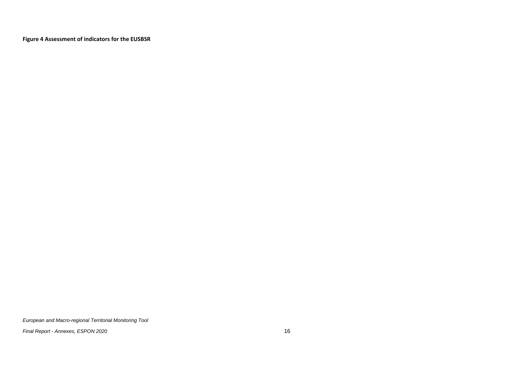**Figure 4 Assessment of indicators for the EUSBSR**

<span id="page-17-0"></span>*European and Macro-regional Territorial Monitoring Tool*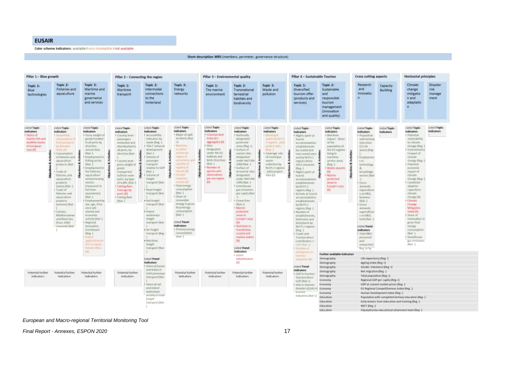#### **EUSAIR**

Color scheme indicators: available I very incomplete I not available

#### Short description MRS (members, perimeter, governance structure)

| Pillar 1 - Blue growth                                                                                   |                                                                                                                                                                                                                                                                                                                                                                                                                                          |                                                                                                                                                                                                                                                                                                                                                                                                                                                                                                                                                                                                                 | Pillar 2 - Connecting the region                                                                                                                                                                                                                                                                                                             |                                                                                                                                                                                                                                                                                                                                                                                                                                                                                        |                                                                                                                                                                                                                                                                                                                                                                                                                                                                                                                        | Pillar 3 - Environmental quality                                                                                                                                                                                                                                                   |                                                                                                                                                                                                                                                                                                                                                                                                                                                                                                                                                                                                                                                                                                                                                          |                                    | Pillar 4 - Sustainable Tourism                                                                                                     |                                                                                                                                                                                                                                                                                                                                                                                                                                                                                                                                                                                                                                                                      |                                                                                                                                                                                                                                                               | Cross-cutting aspects                                                                                                                                                                                                                                                                                                                                                                                                                          |                                                             | Horizontal principles                                                                                                                                                                                                                                                                                                                                                                                                                                                                       |                              |
|----------------------------------------------------------------------------------------------------------|------------------------------------------------------------------------------------------------------------------------------------------------------------------------------------------------------------------------------------------------------------------------------------------------------------------------------------------------------------------------------------------------------------------------------------------|-----------------------------------------------------------------------------------------------------------------------------------------------------------------------------------------------------------------------------------------------------------------------------------------------------------------------------------------------------------------------------------------------------------------------------------------------------------------------------------------------------------------------------------------------------------------------------------------------------------------|----------------------------------------------------------------------------------------------------------------------------------------------------------------------------------------------------------------------------------------------------------------------------------------------------------------------------------------------|----------------------------------------------------------------------------------------------------------------------------------------------------------------------------------------------------------------------------------------------------------------------------------------------------------------------------------------------------------------------------------------------------------------------------------------------------------------------------------------|------------------------------------------------------------------------------------------------------------------------------------------------------------------------------------------------------------------------------------------------------------------------------------------------------------------------------------------------------------------------------------------------------------------------------------------------------------------------------------------------------------------------|------------------------------------------------------------------------------------------------------------------------------------------------------------------------------------------------------------------------------------------------------------------------------------|----------------------------------------------------------------------------------------------------------------------------------------------------------------------------------------------------------------------------------------------------------------------------------------------------------------------------------------------------------------------------------------------------------------------------------------------------------------------------------------------------------------------------------------------------------------------------------------------------------------------------------------------------------------------------------------------------------------------------------------------------------|------------------------------------|------------------------------------------------------------------------------------------------------------------------------------|----------------------------------------------------------------------------------------------------------------------------------------------------------------------------------------------------------------------------------------------------------------------------------------------------------------------------------------------------------------------------------------------------------------------------------------------------------------------------------------------------------------------------------------------------------------------------------------------------------------------------------------------------------------------|---------------------------------------------------------------------------------------------------------------------------------------------------------------------------------------------------------------------------------------------------------------|------------------------------------------------------------------------------------------------------------------------------------------------------------------------------------------------------------------------------------------------------------------------------------------------------------------------------------------------------------------------------------------------------------------------------------------------|-------------------------------------------------------------|---------------------------------------------------------------------------------------------------------------------------------------------------------------------------------------------------------------------------------------------------------------------------------------------------------------------------------------------------------------------------------------------------------------------------------------------------------------------------------------------|------------------------------|
| Topic 1:<br>Blue<br>technologies                                                                         | Topic 2:<br>Fisheries and<br>aquaculture                                                                                                                                                                                                                                                                                                                                                                                                 | Topic 3:<br>Maritime and<br>matine<br>governance<br>and services.                                                                                                                                                                                                                                                                                                                                                                                                                                                                                                                                               | Topic 1:<br>Maritime<br>transport                                                                                                                                                                                                                                                                                                            | Topic 2:<br>Intermodal<br>connections<br>to the<br>hinterland                                                                                                                                                                                                                                                                                                                                                                                                                          | Topic 3:<br>Energy<br>networks                                                                                                                                                                                                                                                                                                                                                                                                                                                                                         | Topic 1:<br>The marine<br>environment                                                                                                                                                                                                                                              | Topic 2:<br>Transnational<br>terrestrial<br>habitats and<br>biodiversity                                                                                                                                                                                                                                                                                                                                                                                                                                                                                                                                                                                                                                                                                 | Topic 3:<br>Waste and<br>pollution | Topic 1:<br>Diversified<br>tourism offer<br>(products and<br>services)                                                             | Topic <sub>2</sub><br>Sustainable<br>and<br>responsible<br>tourism<br>management<br><i><b>Cinnovation</b></i><br>and quality)                                                                                                                                                                                                                                                                                                                                                                                                                                                                                                                                        | Research<br>and<br>innovatio<br>$\mathbf{D}$                                                                                                                                                                                                                  | Capacity<br><b>Building</b>                                                                                                                                                                                                                                                                                                                                                                                                                    | Climate<br><b>Change</b><br>mitigatio<br>n and<br>adaptatio | Disaster<br>risk<br>manage<br>ment                                                                                                                                                                                                                                                                                                                                                                                                                                                          |                              |
| Listed Tapic-<br>Indication<br>Status of<br>marine fish and<br>dustfish stucks.<br>#European<br>sean 011 | Listed Topic-<br>indicators.<br>F100mm10<br>CONTRACTOR (F<br>friedli polishat H<br><b>Ing Wilderham</b><br><b>WATH OTLE</b><br>Consumption<br>of fisheden and<br>aguaculture.<br>products (Nat.<br>Trade of<br>fisheries and<br>aquacutture<br>products:<br>(value) (Nat.<br>· Trade of<br>fisheriou and<br>aguaculture<br>products.<br>(Volume) (NAE)<br>Catches -<br>Meditemaneum<br>and Risck Sea<br>(Your 2000)<br>creature(s) (Nat- | Ushed Tapic-<br><b>Indicators</b><br>+ Erona weight of<br>goodi handleil<br>maltports by<br>(Frection)<br>amuat data<br><b>INNH</b><br>manantama:<br>t<br>fishing order<br>DVAR 1<br>Himselverson,<br>the fisheries;<br>aquaculture:<br>aniversity first<br>sectors:<br>inequant in<br><b>TUEL-EITER</b><br>coulwients<br>[Malt -]<br>+ Employment by<br>ids, age, fires-<br>18400 (18)<br>statist and<br><b><i>SLIBIDITIE</i></b><br>activity (Nat.)<br><b>Beatonal</b><br><b>Internation</b><br>Scontiboard<br><b>IReg  </b><br><b>Patrick</b><br>apóte el Limmo<br><b>Inclument</b><br><b>Patrick Office</b> | Listed Tople-<br>indicators.<br>+ Country/level<br>planningsmx<br><b>HITGHWAT ANT</b><br>dombatied in<br>all parts, by<br>direction Dust<br>Country/level<br>atbic weight of<br>(\$1005)<br>transporters.<br>tu/from main<br>ports by hipe<br>of traffic (hiat-<br>· Kabing Hest<br>Tomage by<br><b>BRATISTER</b><br>+ Europe floot<br>Mat-F | Lisbed Tapic-<br><b>Rodications</b><br>· AudiositeSful<br>indicators by<br>mode (Neg.)<br>· TEN T INTWORK<br>physiophylate.<br>Diam 1<br>· Videnial of<br>patsenger<br>frompert<br>netative for cone<br>that it<br>Volument<br><b>Triuthi</b><br>transport (Nat.<br>· Road health.<br>Transport (Nat.<br>+ Railforent<br>transport that<br>· Intanzi<br><b>MATERIARY</b><br>treight<br>transport (Nat-<br>v. da Tréight<br>framport [Feg.<br>* Martiner.<br>Treight.<br>framport (Nat. | Listed Topic-<br>Indicators<br>· Major oil spilt<br>Wolden to Dreat<br><b>Calling It's that</b><br>1.1 Alberton B<br>sicher by<br>making of<br>december and<br><b>Scouttful 4th</b><br>egistiv re<br>absami STI<br><b>DONATE</b><br><b>Myspoticia</b><br>work with COT<br>· Final energy<br><b>Alternativelistic</b><br>PHAC-<br>· Share of<br>renewable.<br>Arangy 10 gross<br><b>Bulleving</b><br>immurretton.<br><b>INat 0</b><br><b>Elized Torod-</b><br>Indicators<br>· Primary everal<br>abround fide-<br>[Nnt.] | Hitled Topic<br><b>Indicators</b><br>· Common bird<br><b>Index (E)</b><br>sponsetet (01)<br>+ Sites<br>timigrated.<br>under the EU<br><b>Habitats and</b><br>Birds Directives.<br><b>IRat-1</b><br>* Thurston of<br>used sis and<br>platervations<br>я<br>pert una riggiant<br>(D) | Listed Topic<br>Linted Topic-<br>tedicators<br>Indicators<br>· Nationally<br>· Minimopal<br>designated<br>matter by NUTT<br>arrenched.<br>Tregima rutu<br>areas [Neg +]:<br>project status<br>Surface of<br>Heg 1<br>matine when<br>Filmerage rate<br><b>Management</b><br>if immitteal<br><b>URTIANTISM</b><br>Watch<br>2000 Not. 1<br>collection by<br>To surface of<br>NUTS J. regimes<br>Jehn kindrened<br>pilotaroind:<br>delignated.<br>data (0)<br>Linder NATISIA<br>2000 INat-T<br>· Greenhouse<br>дах естиминх<br>per capita (Nat<br>· Forest fires<br>$Dux(-)$<br>- Marine<br>protection<br>and als by<br><b>Europe's seas</b><br><b>OHI</b><br>· Natrienta (a)<br><b>Harsdonal</b><br>Extra Noticion<br>marine waters<br>001<br>Listed Trend- |                                    |                                                                                                                                    | Listed Topic-<br>Indicators<br>+ Nighti spectral<br>dourist<br>accommodation<br>astatelishments.<br>hy coartal and<br>$m$ sa cuastaturna $\mathfrak{D}$<br>indity NUTS 2<br>regions.from:<br>(abwww.1300)<br>$10kg - 3$<br>Nights spent at<br>hourist:<br>accommodation<br>establishments.<br>for NGTS 2<br>regions Dird -1<br>· Arrivals at follofist.<br>accommodation<br>midabilidaments<br><b>By NUTS J</b><br>regions (Reg. 1)<br>Wurderuf.<br>untabilidements.<br>Ведуровная и<br>hed-places by<br><b>MUISZ nigims</b><br>$[{}^{\dagger}$ Eq. ${}^{\dagger}$ C.<br>· Trawit and<br>Tourism street<br>contribution m<br><b>GENTINALIS</b><br><b>TRAINING AT</b> | Listed Tople-<br>Indicators<br>A Maritima<br>ingiact: Share<br>orme.<br>argulation of<br>the Ettingtons<br>Fellogi Art<br>martiting.<br>HYVIOLARIAL<br>(Reg. 2)<br>chuit is study?<br>401<br><b>Marine</b><br>priztected<br>ateas in<br>Aurope's seas.<br>411 | Listed Topic-<br>Indicators<br>+ Papistation<br>with britishy<br>coucation<br>125.64<br>yours) Oken<br>* Employmen<br>t is<br>bechnotopy:<br>Arrestricture<br>sectors (Post<br># Einmer-<br>dimenti:<br>copereting<br>$4.02 - 148.0$<br><b>Dauthens</b><br>DWA -1<br>* 000M<br>domestic.<br>papersiture<br>YOU RAIL<br>total (Nat-)<br>Listen Trend-<br><b>Indicators</b><br>GRA tubut +<br><b>DOYSUMMY</b><br>III<br>nnounthor.<br>Reg -Js by | Lisbed Topic-<br>Indicators                                 | Listed Tople-<br>Indicators<br>· Potential<br>winerability<br><b>Implemate</b><br>charge Hou-<br>+ Environments<br>limpacted:<br>dimate<br>duone Heg.<br>· Pynnnital<br>ammonic.<br>impact of<br>dimate<br>charge Pay.<br>+ Contrated<br>adaptive.<br>capactyte<br>diviate.<br>-charge-100<br>Climate<br>Chines<br>Mitigation<br>trafes (II)<br><b>ESNAGE</b><br>innewables.1/<br>arrest final<br><b><i>STECHY</i></b><br>помиторное<br>The Fill<br>· Greenhouse<br>gas emissions<br>(Net-) | listed Teple-<br>indicators: |
|                                                                                                          |                                                                                                                                                                                                                                                                                                                                                                                                                                          |                                                                                                                                                                                                                                                                                                                                                                                                                                                                                                                                                                                                                 | THT                                                                                                                                                                                                                                                                                                                                          | Interi Trend-<br><i><b>Indicators</b></i><br>· Charriof Avenues                                                                                                                                                                                                                                                                                                                                                                                                                        |                                                                                                                                                                                                                                                                                                                                                                                                                                                                                                                        |                                                                                                                                                                                                                                                                                    | Indicators<br>* Green<br>infrastructure<br>ĵαį                                                                                                                                                                                                                                                                                                                                                                                                                                                                                                                                                                                                                                                                                                           |                                    | mitrigation in<br><b>Told Sale</b><br><b>Distubilities</b> (ET)<br>Listed Trendi-                                                  | Further available indicators<br><b>Bemography</b><br>Demography<br>Demography                                                                                                                                                                                                                                                                                                                                                                                                                                                                                                                                                                                        | life expectancy [Reg.)<br>Appling in the Gleg +1                                                                                                                                                                                                              | Gender Imbatance (Reg. +)                                                                                                                                                                                                                                                                                                                                                                                                                      |                                                             |                                                                                                                                                                                                                                                                                                                                                                                                                                                                                             |                              |
| Potential further<br><b>Indicators:</b>                                                                  | Fotential further<br><b>Indicators:</b>                                                                                                                                                                                                                                                                                                                                                                                                  | <b>Potential further</b><br><b>Indicators:</b>                                                                                                                                                                                                                                                                                                                                                                                                                                                                                                                                                                  | Potential further<br>indicators:                                                                                                                                                                                                                                                                                                             | and mains on<br><b>Infoluentemper</b><br>transport Mor-                                                                                                                                                                                                                                                                                                                                                                                                                                | Potential further<br>indicators.                                                                                                                                                                                                                                                                                                                                                                                                                                                                                       | <b>Rotential further</b><br>indicators:                                                                                                                                                                                                                                            | <b>Potential further</b><br>indicators:                                                                                                                                                                                                                                                                                                                                                                                                                                                                                                                                                                                                                                                                                                                  | Potential further<br>indicators:   | Indicators<br>+ GDP in Tourning<br>Jawimi direct<br>GOP (Not +)<br>Asks in Tournam                                                 | Demography<br>Demography<br>Etonomy<br>Economy                                                                                                                                                                                                                                                                                                                                                                                                                                                                                                                                                                                                                       | Net esigration (Red.-)<br>Total population [Reg. +]<br>Regional GDP per capita (Reg +)<br>GDF at current market prices (Reg.)                                                                                                                                 |                                                                                                                                                                                                                                                                                                                                                                                                                                                |                                                             |                                                                                                                                                                                                                                                                                                                                                                                                                                                                                             |                              |
|                                                                                                          |                                                                                                                                                                                                                                                                                                                                                                                                                                          | · Share of roof<br>interiment<br>wotenasse.<br>activity in fatur<br>peight<br>transport (Not                                                                                                                                                                                                                                                                                                                                                                                                                                                                                                                    |                                                                                                                                                                                                                                                                                                                                              |                                                                                                                                                                                                                                                                                                                                                                                                                                                                                        |                                                                                                                                                                                                                                                                                                                                                                                                                                                                                                                        |                                                                                                                                                                                                                                                                                    | Warrener of mins in<br>Bootvarry<br>Econamy<br>Education<br>Education<br>Education                                                                                                                                                                                                                                                                                                                                                                                                                                                                                                                                                                                                                                                                       | NEET Heg J                         | Ell Bagional Competitiveness Index Blag -1<br>Harnet Development Index (Reg -)<br>Early leavers from education and training (Reg - | Population with completed bettary education (Reg. ).                                                                                                                                                                                                                                                                                                                                                                                                                                                                                                                                                                                                                 |                                                                                                                                                                                                                                                               |                                                                                                                                                                                                                                                                                                                                                                                                                                                |                                                             |                                                                                                                                                                                                                                                                                                                                                                                                                                                                                             |                              |
|                                                                                                          |                                                                                                                                                                                                                                                                                                                                                                                                                                          |                                                                                                                                                                                                                                                                                                                                                                                                                                                                                                                                                                                                                 |                                                                                                                                                                                                                                                                                                                                              |                                                                                                                                                                                                                                                                                                                                                                                                                                                                                        |                                                                                                                                                                                                                                                                                                                                                                                                                                                                                                                        |                                                                                                                                                                                                                                                                                    |                                                                                                                                                                                                                                                                                                                                                                                                                                                                                                                                                                                                                                                                                                                                                          |                                    |                                                                                                                                    | Education                                                                                                                                                                                                                                                                                                                                                                                                                                                                                                                                                                                                                                                            |                                                                                                                                                                                                                                                               |                                                                                                                                                                                                                                                                                                                                                                                                                                                | Fopulation by envisional attainment tevel (Reg. §           |                                                                                                                                                                                                                                                                                                                                                                                                                                                                                             |                              |

#### *European and Macro -regional Territorial Monitoring Tool*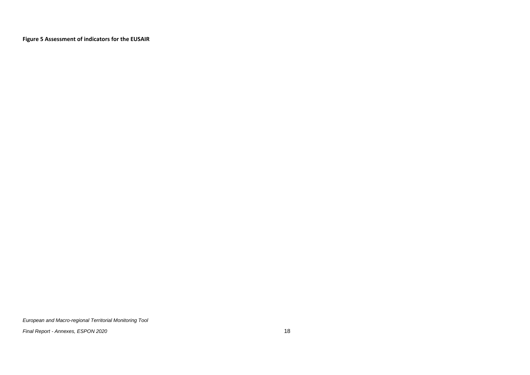**Figure 5 Assessment of indicators for the EUSAIR**

<span id="page-19-0"></span>*European and Macro-regional Territorial Monitoring Tool*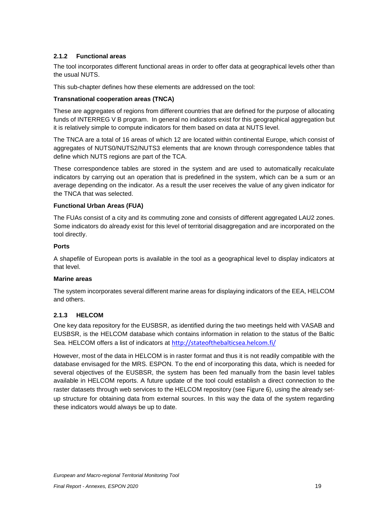# <span id="page-20-0"></span>**2.1.2 Functional areas**

The tool incorporates different functional areas in order to offer data at geographical levels other than the usual NUTS.

This sub-chapter defines how these elements are addressed on the tool:

## **Transnational cooperation areas (TNCA)**

These are aggregates of regions from different countries that are defined for the purpose of allocating funds of INTERREG V B program. In general no indicators exist for this geographical aggregation but it is relatively simple to compute indicators for them based on data at NUTS level.

The TNCA are a total of 16 areas of which 12 are located within continental Europe, which consist of aggregates of NUTS0/NUTS2/NUTS3 elements that are known through correspondence tables that define which NUTS regions are part of the TCA.

These correspondence tables are stored in the system and are used to automatically recalculate indicators by carrying out an operation that is predefined in the system, which can be a sum or an average depending on the indicator. As a result the user receives the value of any given indicator for the TNCA that was selected.

## **Functional Urban Areas (FUA)**

The FUAs consist of a city and its commuting zone and consists of different aggregated LAU2 zones. Some indicators do already exist for this level of territorial disaggregation and are incorporated on the tool directly.

## **Ports**

A shapefile of European ports is available in the tool as a geographical level to display indicators at that level.

## **Marine areas**

The system incorporates several different marine areas for displaying indicators of the EEA, HELCOM and others.

# <span id="page-20-1"></span>**2.1.3 HELCOM**

One key data repository for the EUSBSR, as identified during the two meetings held with VASAB and EUSBSR, is the HELCOM database which contains information in relation to the status of the Baltic Sea. HELCOM offers a list of indicators at <http://stateofthebalticsea.helcom.fi/>

However, most of the data in HELCOM is in raster format and thus it is not readily compatible with the database envisaged for the MRS. ESPON. To the end of incorporating this data, which is needed for several objectives of the EUSBSR, the system has been fed manually from the basin level tables available in HELCOM reports. A future update of the tool could establish a direct connection to the raster datasets through web services to the HELCOM repository (see [Figure 6](#page-21-1)), using the already setup structure for obtaining data from external sources. In this way the data of the system regarding these indicators would always be up to date.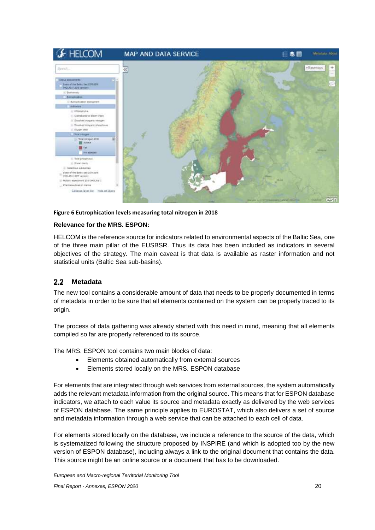

#### <span id="page-21-1"></span>**Figure 6 Eutrophication levels measuring total nitrogen in 2018**

#### **Relevance for the MRS. ESPON:**

HELCOM is the reference source for indicators related to environmental aspects of the Baltic Sea, one of the three main pillar of the EUSBSR. Thus its data has been included as indicators in several objectives of the strategy. The main caveat is that data is available as raster information and not statistical units (Baltic Sea sub-basins).

#### <span id="page-21-0"></span> $2.2$ **Metadata**

The new tool contains a considerable amount of data that needs to be properly documented in terms of metadata in order to be sure that all elements contained on the system can be properly traced to its origin.

The process of data gathering was already started with this need in mind, meaning that all elements compiled so far are properly referenced to its source.

The MRS. ESPON tool contains two main blocks of data:

- Elements obtained automatically from external sources
- Elements stored locally on the MRS. ESPON database

For elements that are integrated through web services from external sources, the system automatically adds the relevant metadata information from the original source. This means that for ESPON database indicators, we attach to each value its source and metadata exactly as delivered by the web services of ESPON database. The same principle applies to EUROSTAT, which also delivers a set of source and metadata information through a web service that can be attached to each cell of data.

For elements stored locally on the database, we include a reference to the source of the data, which is systematized following the structure proposed by INSPIRE (and which is adopted too by the new version of ESPON database), including always a link to the original document that contains the data. This source might be an online source or a document that has to be downloaded.

*European and Macro-regional Territorial Monitoring Tool*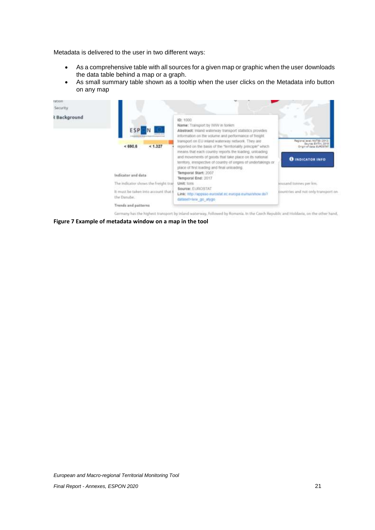Metadata is delivered to the user in two different ways:

- As a comprehensive table with all sources for a given map or graphic when the user downloads the data table behind a map or a graph.
- As small summary table shown as a tooltip when the user clicks on the Metadata info button on any map

| Security<br>& Background |                                                     |                                                                                                                                                                                                                                                                                                                                                                                                                                                                                                                               |                                                                                                            |
|--------------------------|-----------------------------------------------------|-------------------------------------------------------------------------------------------------------------------------------------------------------------------------------------------------------------------------------------------------------------------------------------------------------------------------------------------------------------------------------------------------------------------------------------------------------------------------------------------------------------------------------|------------------------------------------------------------------------------------------------------------|
|                          | <b>ESP</b><br>< 1.327<br>< 690.6                    | ID: 1000<br>Name: Transport by IWW in fonkm<br>Abstract: Intand waterway transport statistics provides:<br>information on the volume and performance of freight.<br>transport on EU inland waterway network. They are<br>reported on the basis of the "territoriality principle" which<br>means that each country reports the loading, unloading<br>and movements of goods that take place on its national<br>territory, irrespective of country of origins of undertakings or<br>place of first loading and final unloading. | Regional Jevel, NUTSE (2013)<br>Source: EATIV, 2019<br>Origin of data: EUROSTAT<br><b>O INDICATOR INFO</b> |
|                          | Indicator and data                                  | Temporal Start: 2007<br>Temporal End: 3017                                                                                                                                                                                                                                                                                                                                                                                                                                                                                    |                                                                                                            |
|                          | The indicator shows the freight trail               | Unit: lons                                                                                                                                                                                                                                                                                                                                                                                                                                                                                                                    | inusand tonnes per km.                                                                                     |
|                          | It must be taken into account that i<br>the Danube. | Source: ELIROSTAT<br>Link: http://appiso.eurostat.ec.europa.eu/nuvshow.do?<br>dataset=tww_go_atygo                                                                                                                                                                                                                                                                                                                                                                                                                            | countries and not only transport on                                                                        |
|                          | Trunds and patterns                                 |                                                                                                                                                                                                                                                                                                                                                                                                                                                                                                                               |                                                                                                            |

<span id="page-22-0"></span>**Figure 7 Example of metadata window on a map in the tool**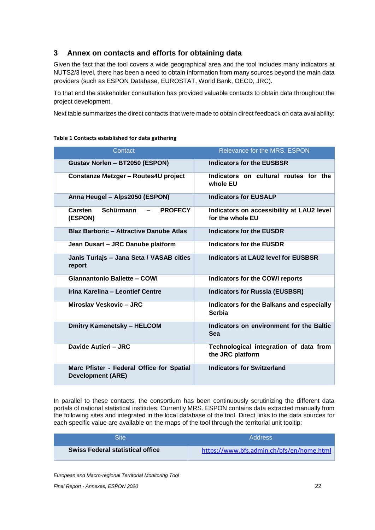# <span id="page-23-0"></span>**3 Annex on contacts and efforts for obtaining data**

Given the fact that the tool covers a wide geographical area and the tool includes many indicators at NUTS2/3 level, there has been a need to obtain information from many sources beyond the main data providers (such as ESPON Database, EUROSTAT, World Bank, OECD, JRC).

To that end the stakeholder consultation has provided valuable contacts to obtain data throughout the project development.

Next table summarizes the direct contacts that were made to obtain direct feedback on data availability:

| Contact                                                               | Relevance for the MRS, ESPON                                  |
|-----------------------------------------------------------------------|---------------------------------------------------------------|
| Gustav Norlen - BT2050 (ESPON)                                        | <b>Indicators for the EUSBSR</b>                              |
| Constanze Metzger - Routes4U project                                  | Indicators on cultural routes for the<br>whole EU             |
| Anna Heugel - Alps2050 (ESPON)                                        | <b>Indicators for EUSALP</b>                                  |
| Schürmann<br><b>Carsten</b><br><b>PROFECY</b><br>(ESPON)              | Indicators on accessibility at LAU2 level<br>for the whole EU |
| <b>Blaz Barboric - Attractive Danube Atlas</b>                        | <b>Indicators for the EUSDR</b>                               |
| Jean Dusart - JRC Danube platform                                     | <b>Indicators for the EUSDR</b>                               |
| Janis Turlajs - Jana Seta / VASAB cities<br>report                    | Indicators at LAU2 level for EUSBSR                           |
| <b>Giannantonio Ballette - COWI</b>                                   | <b>Indicators for the COWI reports</b>                        |
| Irina Karelina - Leontief Centre                                      | <b>Indicators for Russia (EUSBSR)</b>                         |
| Miroslav Veskovic - JRC                                               | Indicators for the Balkans and especially<br>Serbia           |
| <b>Dmitry Kamenetsky - HELCOM</b>                                     | Indicators on environment for the Baltic<br><b>Sea</b>        |
| Davide Autieri - JRC                                                  | Technological integration of data from<br>the JRC platform    |
| Marc Pfister - Federal Office for Spatial<br><b>Development (ARE)</b> | <b>Indicators for Switzerland</b>                             |

#### <span id="page-23-1"></span>**Table 1 Contacts established for data gathering**

In parallel to these contacts, the consortium has been continuously scrutinizing the different data portals of national statistical institutes. Currently MRS. ESPON contains data extracted manually from the following sites and integrated in the local database of the tool. Direct links to the data sources for each specific value are available on the maps of the tool through the territorial unit tooltip:

| Site                                    | <b>Address</b>                            |
|-----------------------------------------|-------------------------------------------|
| <b>Swiss Federal statistical office</b> | https://www.bfs.admin.ch/bfs/en/home.html |

*European and Macro-regional Territorial Monitoring Tool*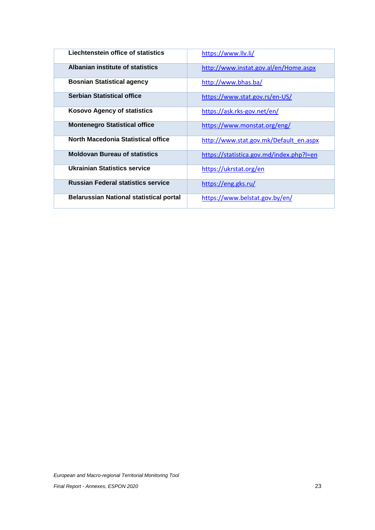| Liechtenstein office of statistics             | https://www.llv.li/                      |
|------------------------------------------------|------------------------------------------|
| Albanian institute of statistics               | http://www.instat.gov.al/en/Home.aspx    |
| <b>Bosnian Statistical agency</b>              | http://www.bhas.ba/                      |
| <b>Serbian Statistical office</b>              | https://www.stat.gov.rs/en-US/           |
| <b>Kosovo Agency of statistics</b>             | https://ask.rks-gov.net/en/              |
| <b>Montenegro Statistical office</b>           | https://www.monstat.org/eng/             |
| North Macedonia Statistical office             | http://www.stat.gov.mk/Default_en.aspx   |
| <b>Moldovan Bureau of statistics</b>           | https://statistica.gov.md/index.php?l=en |
| <b>Ukrainian Statistics service</b>            | https://ukrstat.org/en                   |
| <b>Russian Federal statistics service</b>      | https://eng.gks.ru/                      |
| <b>Belarussian National statistical portal</b> | https://www.belstat.gov.by/en/           |